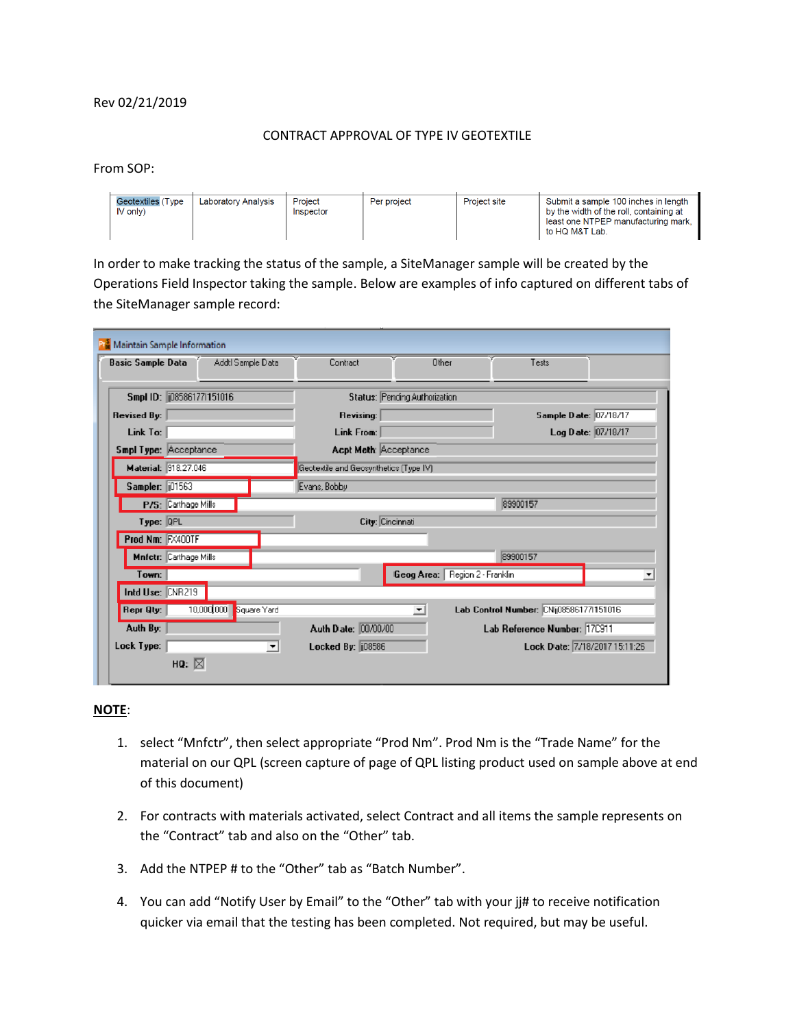## Rev 02/21/2019

## CONTRACT APPROVAL OF TYPE IV GEOTEXTILE

From SOP:

| Geotextiles (Type<br>$IV$ only $)$ | Laboratory Analysis | Project<br>Inspector | Per project | <b>Project site</b> | Submit a sample 100 inches in length<br>by the width of the roll, containing at<br>least one NTPEP manufacturing mark.<br>to HQ M&T Lab. |
|------------------------------------|---------------------|----------------------|-------------|---------------------|------------------------------------------------------------------------------------------------------------------------------------------|

In order to make tracking the status of the sample, a SiteManager sample will be created by the Operations Field Inspector taking the sample. Below are examples of info captured on different tabs of the SiteManager sample record:

| <b>Basic Sample Data</b>    | Addtl Sample Data          |                                        | Contract                           |                    | Other               | Tests                                   |                          |  |
|-----------------------------|----------------------------|----------------------------------------|------------------------------------|--------------------|---------------------|-----------------------------------------|--------------------------|--|
|                             | Smpl ID:   085861771151016 |                                        | Status: Pending Authorization      |                    |                     |                                         |                          |  |
| Revised By:                 |                            |                                        | Sample Date: 07/18/17<br>Revising: |                    |                     |                                         |                          |  |
| Link To:                    |                            |                                        | Link From:                         | Log Date: 07/18/17 |                     |                                         |                          |  |
| Smpl Type: Acceptance       |                            |                                        | Acpt Meth: Acceptance              |                    |                     |                                         |                          |  |
| <b>Material: 918.27.046</b> |                            | Geotextile and Geosynthetics (Type IV) |                                    |                    |                     |                                         |                          |  |
| Sampler: 01563              |                            |                                        | Evans, Bobby                       |                    |                     |                                         |                          |  |
|                             | P/S: Carthage Mills        |                                        |                                    |                    |                     | 89900157                                |                          |  |
| $Type: QPL$                 |                            |                                        | City: Cincinnati                   |                    |                     |                                         |                          |  |
| Prod Nm: FX400TF            |                            |                                        |                                    |                    |                     |                                         |                          |  |
|                             | Mnfctr: Carthage Mills     |                                        |                                    |                    |                     | 89900157                                |                          |  |
| Town:                       |                            |                                        |                                    | Geog Area:         | Region 2 - Franklin |                                         | $\overline{\phantom{a}}$ |  |
| Intd Use: CNR219            |                            |                                        |                                    |                    |                     |                                         |                          |  |
| Repr Qty:                   | 10,000,000                 | Square Yard                            |                                    | ≖                  |                     | Lab Control Number: CNij085861771151016 |                          |  |
| Auth By:                    |                            |                                        | Auth Date: 00/00/00                |                    |                     | Lab Reference Number: 17C911            |                          |  |
| Lock Type:                  |                            | $\overline{\phantom{a}}$               | Locked By: 08586                   |                    |                     | Lock Date: 7/18/2017 15:11:26           |                          |  |

## **NOTE**:

- 1. select "Mnfctr", then select appropriate "Prod Nm". Prod Nm is the "Trade Name" for the material on our QPL (screen capture of page of QPL listing product used on sample above at end of this document)
- 2. For contracts with materials activated, select Contract and all items the sample represents on the "Contract" tab and also on the "Other" tab.
- 3. Add the NTPEP # to the "Other" tab as "Batch Number".
- 4. You can add "Notify User by Email" to the "Other" tab with your ji# to receive notification quicker via email that the testing has been completed. Not required, but may be useful.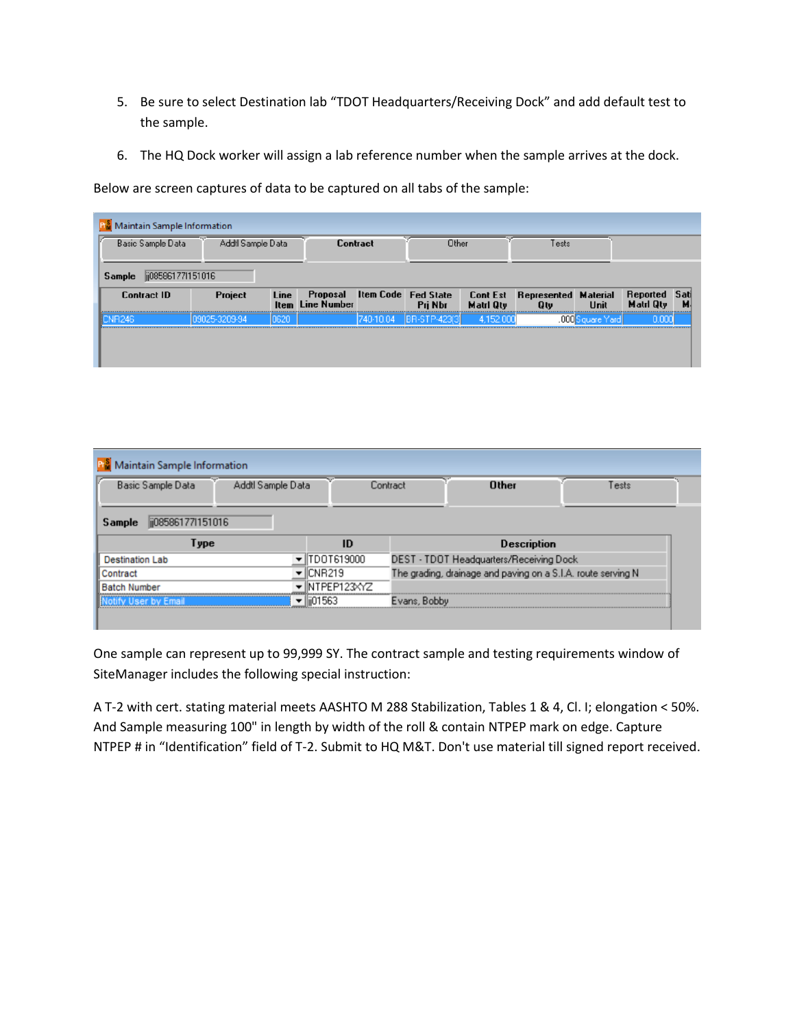- 5. Be sure to select Destination lab "TDOT Headquarters/Receiving Dock" and add default test to the sample.
- 6. The HQ Dock worker will assign a lab reference number when the sample arrives at the dock.

Below are screen captures of data to be captured on all tabs of the sample:

| Maintain Sample Information<br>Addtl Sample Data<br>Basic Sample Data |              | <b>Contract</b> |                                                         | Other     |                       | Tests            |                                                     |                  |                                   |    |
|-----------------------------------------------------------------------|--------------|-----------------|---------------------------------------------------------|-----------|-----------------------|------------------|-----------------------------------------------------|------------------|-----------------------------------|----|
| jj08586177l151016<br>Sample<br><b>Contract ID</b>                     | Project      | Line            | Proposal Item Code Fed State<br><b>Item</b> Line Number |           | Pri Nbr               | <b>Matri Qty</b> | <b>Cont Est</b> Represented Material<br><b>Q</b> tv | Unit             | Reported Sati<br><b>Matri Qty</b> | м. |
| NR246                                                                 | 9025-3209-94 | 0620            |                                                         | 740-10.04 | <b>IBR-STP-423(3)</b> | 4 152 000        |                                                     | .000 Square Yard | 0.000                             |    |

| Maintain Sample Information                                     |                |              |                                                              |      |  |  |  |  |
|-----------------------------------------------------------------|----------------|--------------|--------------------------------------------------------------|------|--|--|--|--|
| Basic Sample Data<br>Addtl Sample Data                          |                | Contract     | <b>Other</b>                                                 | ests |  |  |  |  |
| ii085861771151016<br>Sample<br><b>Description</b><br>ID<br>Type |                |              |                                                              |      |  |  |  |  |
| <b>Destination Lab</b>                                          | TDOT619000     |              | DEST - TDOT Headquarters/Receiving Dock                      |      |  |  |  |  |
| Contract                                                        | CNR219         |              | The grading, drainage and paving on a S.I.A. route serving N |      |  |  |  |  |
| <b>Batch Number</b>                                             | NTPEP123XYZ    |              |                                                              |      |  |  |  |  |
|                                                                 | llii01563<br>▼ | Evans, Bobby |                                                              |      |  |  |  |  |

One sample can represent up to 99,999 SY. The contract sample and testing requirements window of SiteManager includes the following special instruction:

A T-2 with cert. stating material meets AASHTO M 288 Stabilization, Tables 1 & 4, Cl. I; elongation < 50%. And Sample measuring 100" in length by width of the roll & contain NTPEP mark on edge. Capture NTPEP # in "Identification" field of T-2. Submit to HQ M&T. Don't use material till signed report received.